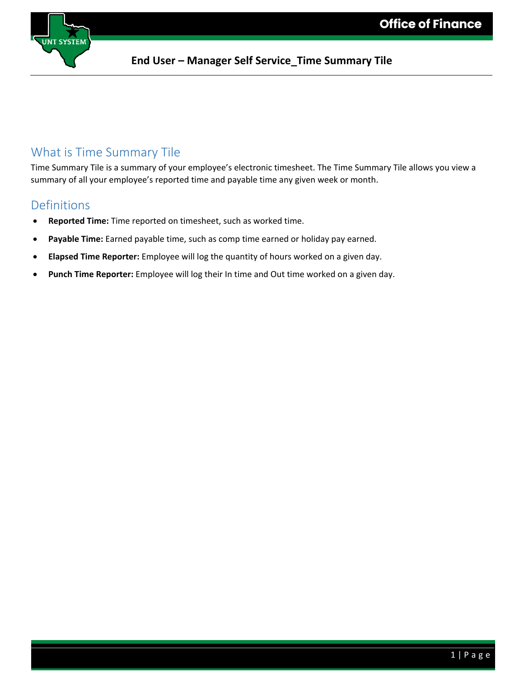

### What is Time Summary Tile

Time Summary Tile is a summary of your employee's electronic timesheet. The Time Summary Tile allows you view a summary of all your employee's reported time and payable time any given week or month.

### **Definitions**

- **Reported Time:** Time reported on timesheet, such as worked time.
- Payable Time: Earned payable time, such as comp time earned or holiday pay earned.
- **Elapsed Time Reporter:** Employee will log the quantity of hours worked on a given day.
- **Punch Time Reporter:** Employee will log their In time and Out time worked on a given day.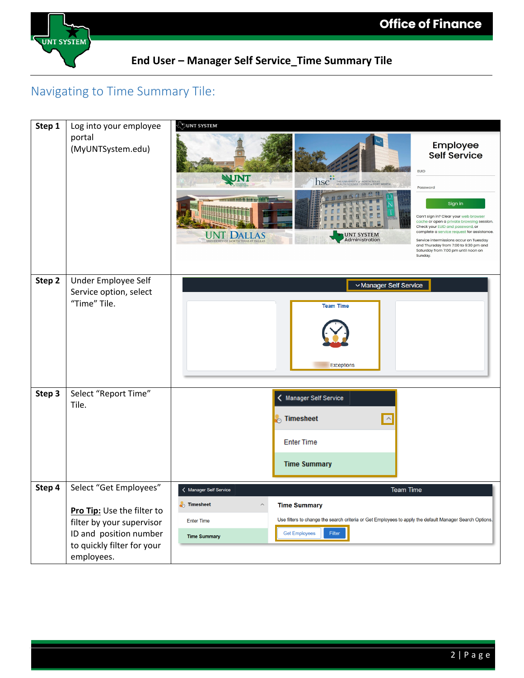

### Navigating to Time Summary Tile:

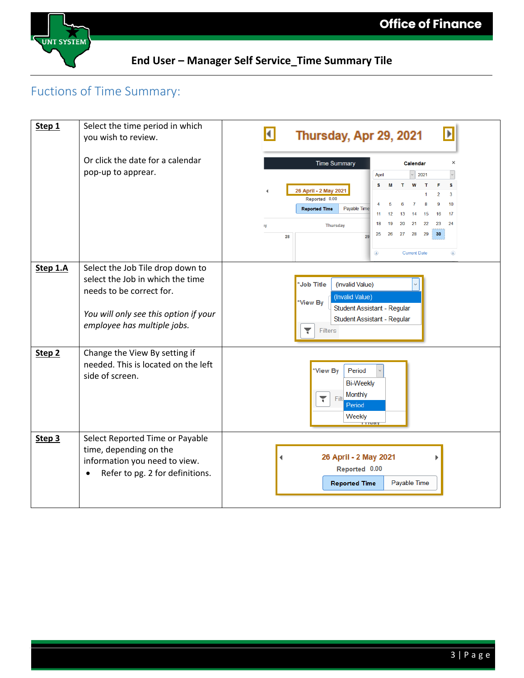

## Fuctions of Time Summary:

| Step 1            | Select the time period in which<br>you wish to review.                                                                                                                   | $\blacktriangleright$<br>$\blacksquare$<br>Thursday, Apr 29, 2021                                                                                                                                                                                                                                                      |
|-------------------|--------------------------------------------------------------------------------------------------------------------------------------------------------------------------|------------------------------------------------------------------------------------------------------------------------------------------------------------------------------------------------------------------------------------------------------------------------------------------------------------------------|
|                   | Or click the date for a calendar<br>pop-up to apprear.                                                                                                                   | <b>Time Summary</b><br>×<br>Calendar<br>2021<br>April                                                                                                                                                                                                                                                                  |
|                   |                                                                                                                                                                          | s<br>s<br>W<br>26 April - 2 May 2021<br>3<br>2<br>Reported 0.00<br>10<br>9<br>Payable Time<br><b>Reported Time</b><br>17<br>11<br>12<br>13<br>15<br>16<br>14<br>23<br>24<br>18<br>19<br>20<br>21<br>22<br><b>Thursday</b><br>ıy<br>30<br>28<br>29<br>25<br>26<br>27<br>28<br>29<br><b>Current Date</b><br>◉<br>$\odot$ |
| Step 1.A          | Select the Job Tile drop down to<br>select the Job in which the time<br>needs to be correct for.<br>You will only see this option if your<br>employee has multiple jobs. | *Job Title<br>(Invalid Value)<br>(Invalid Value)<br>*View By<br>Student Assistant - Regular<br>Student Assistant - Regular<br>۳<br><b>Filters</b>                                                                                                                                                                      |
| Step <sub>2</sub> | Change the View By setting if<br>needed. This is located on the left<br>side of screen.                                                                                  | *View By<br>Period<br><b>Bi-Weekly</b><br>Monthly<br>٢<br>Filt<br>Period<br>Weekly                                                                                                                                                                                                                                     |
| Step 3            | Select Reported Time or Payable<br>time, depending on the<br>information you need to view.<br>Refer to pg. 2 for definitions.<br>$\bullet$                               | 26 April - 2 May 2021<br>Reported 0.00<br><b>Reported Time</b><br>Payable Time                                                                                                                                                                                                                                         |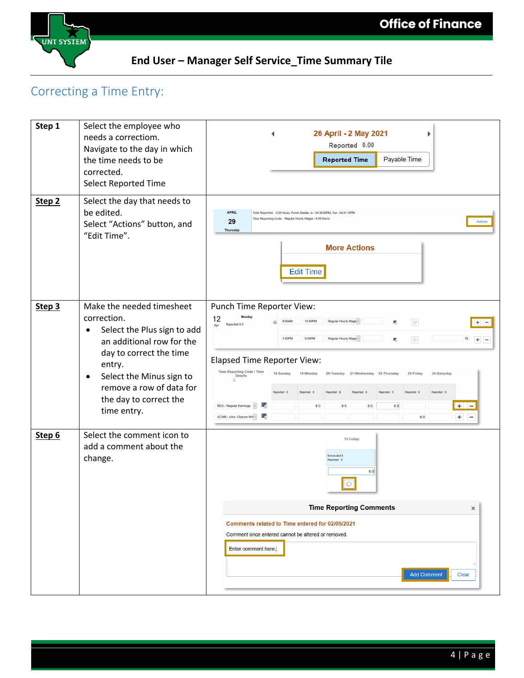



# Correcting a Time Entry:

| Step 1            | Select the employee who<br>needs a correctiom.<br>Navigate to the day in which<br>the time needs to be<br>corrected.<br><b>Select Reported Time</b>                                                                                                                  | 26 April - 2 May 2021<br>Reported 0.00<br>Payable Time<br><b>Reported Time</b>                                                                                                                                                                                                                                                                                                                                                                                                                                                                                                                                                                                                              |
|-------------------|----------------------------------------------------------------------------------------------------------------------------------------------------------------------------------------------------------------------------------------------------------------------|---------------------------------------------------------------------------------------------------------------------------------------------------------------------------------------------------------------------------------------------------------------------------------------------------------------------------------------------------------------------------------------------------------------------------------------------------------------------------------------------------------------------------------------------------------------------------------------------------------------------------------------------------------------------------------------------|
| Step <sub>2</sub> | Select the day that needs to<br>be edited.<br>Select "Actions" button, and<br>"Edit Time".                                                                                                                                                                           | <b>APRIL</b><br>Total Reported: 0.05 Hours, Punch Details: In - 04:38:26PM, Out - 04:41:10PM<br>Time Reporting Code: Regular Hourly Wages - 0.05 Hours<br>29<br>Actions<br><b>Thursday</b><br><b>More Actions</b><br><b>Edit Time</b>                                                                                                                                                                                                                                                                                                                                                                                                                                                       |
| Step <sub>3</sub> | Make the needed timesheet<br>correction.<br>Select the Plus sign to add<br>$\bullet$<br>an additional row for the<br>day to correct the time<br>entry.<br>Select the Minus sign to<br>$\bullet$<br>remove a row of data for<br>the day to correct the<br>time entry. | Punch Time Reporter View:<br>12<br>12:00PM<br>Regular Hourly Wage ~<br>$\circ$<br>8:00AM<br>罱<br>$+$ $-$<br>Reported 0.0<br>Apr<br>1:00PM<br>5:00PM<br>Regular Hourly Wage ~<br>$\alpha$<br>鷣<br>$\circ$<br>$+$ $-$<br><b>Elapsed Time Reporter View:</b><br>Time Reporting Code / Time<br>18-Sunday<br>19-Monday<br>20-Tuesday 21-Wednesday 22-Thursday<br>23-Friday<br>24-Saturday<br><b>Details</b><br>A,<br>Reported 0<br>Reported 0<br>Reported 8<br>Reported 8<br>Reported 0<br>Reported 8<br>Reported 8<br>医<br>8.0<br>$+$<br>$\frac{1}{2}$<br><b>REG - Regular Earnings</b><br>8.0<br>8.0<br>8.0<br>蠹<br>$\ddot{}$<br>UCWK - Univ. Closure Wri ~<br>8.0<br>$\overline{\phantom{m}}$ |
| Step 6            | Select the comment icon to<br>add a comment about the<br>change.                                                                                                                                                                                                     | 14-Friday<br>Scheduled 0<br>Reported 0<br>8.0<br>$\circ$<br><b>Time Reporting Comments</b><br>$\times$<br>Comments related to Time entered for 02/05/2021<br>Comment once entered cannot be altered or removed.<br>Enter comment here.<br><b>Add Comment</b><br>Clear                                                                                                                                                                                                                                                                                                                                                                                                                       |